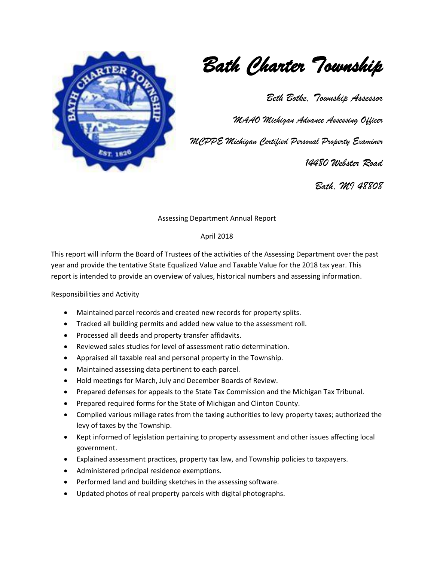

*Bath Charter Township* 

*Beth Botke, Township Assessor* 

*MAAO Michigan Advance Assessing Officer*

*MCPPE Michigan Certified Personal Property Examiner*

 *14480 Webster Road* 

*Bath, MI 48808*

Assessing Department Annual Report

### April 2018

This report will inform the Board of Trustees of the activities of the Assessing Department over the past year and provide the tentative State Equalized Value and Taxable Value for the 2018 tax year. This report is intended to provide an overview of values, historical numbers and assessing information.

### Responsibilities and Activity

- Maintained parcel records and created new records for property splits.
- Tracked all building permits and added new value to the assessment roll.
- Processed all deeds and property transfer affidavits.
- Reviewed sales studies for level of assessment ratio determination.
- Appraised all taxable real and personal property in the Township.
- Maintained assessing data pertinent to each parcel.
- Hold meetings for March, July and December Boards of Review.
- Prepared defenses for appeals to the State Tax Commission and the Michigan Tax Tribunal.
- Prepared required forms for the State of Michigan and Clinton County.
- Complied various millage rates from the taxing authorities to levy property taxes; authorized the levy of taxes by the Township.
- Kept informed of legislation pertaining to property assessment and other issues affecting local government.
- Explained assessment practices, property tax law, and Township policies to taxpayers.
- Administered principal residence exemptions.
- Performed land and building sketches in the assessing software.
- Updated photos of real property parcels with digital photographs.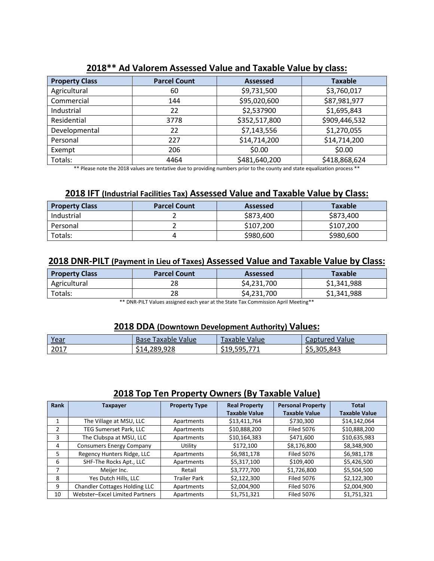| <b>Property Class</b> | <b>Parcel Count</b> | <b>Assessed</b> | <b>Taxable</b> |
|-----------------------|---------------------|-----------------|----------------|
| Agricultural          | 60                  | \$9,731,500     | \$3,760,017    |
| Commercial            | 144                 | \$95,020,600    | \$87,981,977   |
| Industrial            | 22                  | \$2,537900      | \$1,695,843    |
| Residential           | 3778                | \$352,517,800   | \$909,446,532  |
| Developmental         | 22                  | \$7,143,556     | \$1,270,055    |
| Personal              | 227                 | \$14,714,200    | \$14,714,200   |
| Exempt                | 206                 | \$0.00          | \$0.00         |
| Totals:               | 4464                | \$481,640,200   | \$418,868,624  |

# **2018\*\* Ad Valorem Assessed Value and Taxable Value by class:**

\*\* Please note the 2018 values are tentative due to providing numbers prior to the county and state equalization process \*\*

## **2018 IFT (Industrial Facilities Tax) Assessed Value and Taxable Value by Class:**

| <b>Property Class</b> | <b>Parcel Count</b> | <b>Assessed</b> | <b>Taxable</b> |
|-----------------------|---------------------|-----------------|----------------|
| Industrial            |                     | \$873,400       | \$873,400      |
| Personal              |                     | \$107.200       | \$107.200      |
| Totals:               |                     | \$980,600       | \$980,600      |

## **2018 DNR-PILT (Payment in Lieu of Taxes) Assessed Value and Taxable Value by Class:**

| <b>Property Class</b> | <b>Parcel Count</b> | Assessed    | <b>Taxable</b> |
|-----------------------|---------------------|-------------|----------------|
| Agricultural          | 28                  | \$4,231,700 | \$1,341,988    |
| Totals:               | 28                  | \$4,231,700 | \$1,341,988    |

\*\* DNR-PILT Values assigned each year at the State Tax Commission April Meeting\*\*

### **2018 DDA (Downtown Development Authority) Values:**

| Year | Value<br>Base<br><b>Taxable</b> | Value<br>Faxable i                                                  | Value<br>Captured |
|------|---------------------------------|---------------------------------------------------------------------|-------------------|
| 2017 | \$14,289,928                    | 771<br>, 505.<br>$^{\small{\texttt{-10}}\,\texttt{-}}$<br>,,,,,,,,, | \$5,305,843       |

## **2018 Top Ten Property Owners (By Taxable Value)**

| Rank | Taxpayer                        | <b>Property Type</b> | <b>Real Property</b> | <b>Personal Property</b> | <b>Total</b>         |
|------|---------------------------------|----------------------|----------------------|--------------------------|----------------------|
|      |                                 |                      | <b>Taxable Value</b> | <b>Taxable Value</b>     | <b>Taxable Value</b> |
|      | The Village at MSU, LLC         | Apartments           | \$13,411,764         | \$730,300                | \$14,142,064         |
| 2    | TEG Sumerset Park, LLC          | Apartments           | \$10,888,200         | <b>Filed 5076</b>        | \$10,888,200         |
| 3    | The Clubspa at MSU, LLC         | Apartments           | \$10,164,383         | \$471,600                | \$10,635,983         |
| 4    | <b>Consumers Energy Company</b> | Utility              | \$172,100            | \$8,176,800              | \$8,348,900          |
| 5.   | Regency Hunters Ridge, LLC      | Apartments           | \$6,981,178          | <b>Filed 5076</b>        | \$6,981,178          |
| 6    | SHF-The Rocks Apt., LLC         | Apartments           | \$5,317,100          | \$109,400                | \$5,426,500          |
|      | Meijer Inc.                     | Retail               | \$3,777,700          | \$1,726,800              | \$5,504,500          |
| 8    | Yes Dutch Hills, LLC            | <b>Trailer Park</b>  | \$2,122,300          | <b>Filed 5076</b>        | \$2,122,300          |
| 9    | Chandler Cottages Holding LLC   | Apartments           | \$2,004,900          | <b>Filed 5076</b>        | \$2,004,900          |
| 10   | Webster-Excel Limited Partners  | Apartments           | \$1,751,321          | <b>Filed 5076</b>        | \$1,751,321          |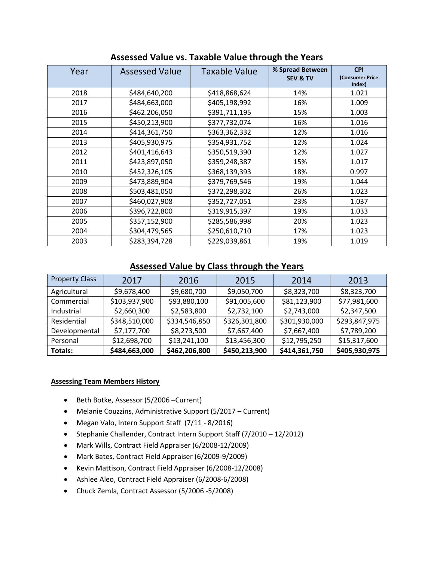| Year | <b>Assessed Value</b> | <b>Taxable Value</b> | % Spread Between<br><b>SEV &amp; TV</b> | <b>CPI</b><br>(Consumer Price<br>Index) |
|------|-----------------------|----------------------|-----------------------------------------|-----------------------------------------|
| 2018 | \$484,640,200         | \$418,868,624        | 14%                                     | 1.021                                   |
| 2017 | \$484,663,000         | \$405,198,992        | 16%                                     | 1.009                                   |
| 2016 | \$462.206,050         | \$391,711,195        | 15%                                     | 1.003                                   |
| 2015 | \$450,213,900         | \$377,732,074        | 16%                                     | 1.016                                   |
| 2014 | \$414,361,750         | \$363,362,332        | 12%                                     | 1.016                                   |
| 2013 | \$405,930,975         | \$354,931,752        | 12%                                     | 1.024                                   |
| 2012 | \$401,416,643         | \$350,519,390        | 12%                                     | 1.027                                   |
| 2011 | \$423,897,050         | \$359,248,387        | 15%                                     | 1.017                                   |
| 2010 | \$452,326,105         | \$368,139,393        | 18%                                     | 0.997                                   |
| 2009 | \$473,889,904         | \$379,769,546        | 19%                                     | 1.044                                   |
| 2008 | \$503,481,050         | \$372,298,302        | 26%                                     | 1.023                                   |
| 2007 | \$460,027,908         | \$352,727,051        | 23%                                     | 1.037                                   |
| 2006 | \$396,722,800         | \$319,915,397        | 19%                                     | 1.033                                   |
| 2005 | \$357,152,900         | \$285,586,998        | 20%                                     | 1.023                                   |
| 2004 | \$304,479,565         | \$250,610,710        | 17%                                     | 1.023                                   |
| 2003 | \$283,394,728         | \$229,039,861        | 19%                                     | 1.019                                   |

**Assessed Value vs. Taxable Value through the Years** 

## **Assessed Value by Class through the Years**

| <b>Property Class</b> | 2017          | 2016          | 2015          | 2014          | 2013          |
|-----------------------|---------------|---------------|---------------|---------------|---------------|
| Agricultural          | \$9,678,400   | \$9,680,700   | \$9,050,700   | \$8,323,700   | \$8,323,700   |
| Commercial            | \$103,937,900 | \$93,880,100  | \$91,005,600  | \$81,123,900  | \$77,981,600  |
| Industrial            | \$2,660,300   | \$2,583,800   | \$2,732,100   | \$2,743,000   | \$2,347,500   |
| Residential           | \$348,510,000 | \$334,546,850 | \$326,301,800 | \$301,930,000 | \$293,847,975 |
| Developmental         | \$7,177,700   | \$8,273,500   | \$7,667,400   | \$7,667,400   | \$7,789,200   |
| Personal              | \$12,698,700  | \$13,241,100  | \$13,456,300  | \$12,795,250  | \$15,317,600  |
| Totals:               | \$484,663,000 | \$462,206,800 | \$450,213,900 | \$414,361,750 | \$405,930,975 |

### **Assessing Team Members History**

- Beth Botke, Assessor (5/2006 –Current)
- Melanie Couzzins, Administrative Support (5/2017 Current)
- Megan Valo, Intern Support Staff (7/11 8/2016)
- Stephanie Challender, Contract Intern Support Staff (7/2010 12/2012)
- Mark Wills, Contract Field Appraiser (6/2008-12/2009)
- Mark Bates, Contract Field Appraiser (6/2009-9/2009)
- Kevin Mattison, Contract Field Appraiser (6/2008-12/2008)
- Ashlee Aleo, Contract Field Appraiser (6/2008-6/2008)
- Chuck Zemla, Contract Assessor (5/2006 -5/2008)